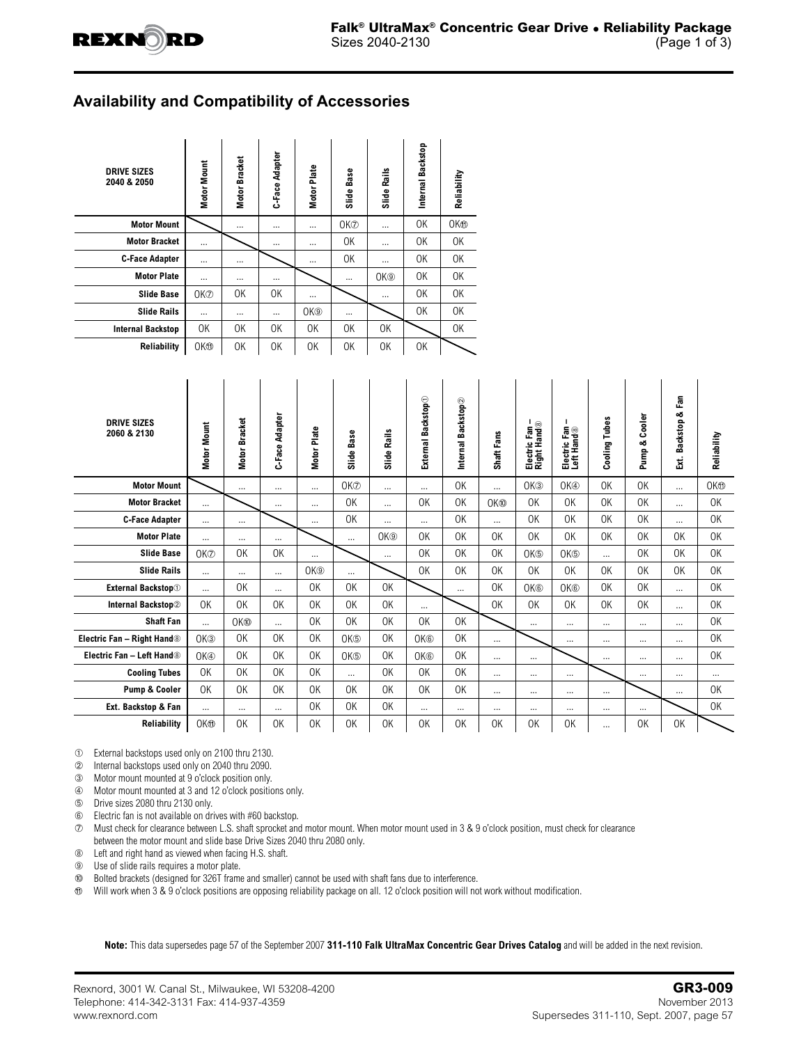

## **Availability and Compatibility of Accessories**

| <b>DRIVE SIZES</b><br>2040 & 2050 | Motor Mount     | Motor Bracket | C-Face Adapter | Motor Plate     | Base<br>Slide   | Rails<br>Slide  | Internal Backstop | Reliability     |
|-----------------------------------|-----------------|---------------|----------------|-----------------|-----------------|-----------------|-------------------|-----------------|
| <b>Motor Mount</b>                |                 | $\cdots$      | $\cdots$       | $\cdots$        | OK <sup>®</sup> | $\cdots$        | 0K                | OK <sub>®</sub> |
| <b>Motor Bracket</b>              | $\cdots$        |               | $\cdots$       | $\cdots$        | 0K              | $\cdots$        | 0K                | 0K              |
| <b>C-Face Adapter</b>             |                 | $\cdots$      |                |                 | 0K              | $\cdots$        | 0K                | 0K              |
| <b>Motor Plate</b>                |                 | $\cdots$      |                |                 | $\cdots$        | OK <sup>®</sup> | 0K                | 0K              |
| <b>Slide Base</b>                 | OK <sup>®</sup> | 0K            | 0K             | $\cdots$        |                 |                 | 0K                | 0K              |
| <b>Slide Rails</b>                |                 |               |                | OK <sup>®</sup> |                 |                 | 0K                | 0K              |
| <b>Internal Backstop</b>          | 0K              | 0K            | 0K             | 0K              | 0K              | 0K              |                   | 0K              |
| <b>Reliability</b>                | OK <sub>1</sub> | ΟK            | 0K             | 0K              | 0K              | ΟK              | OK                |                 |

| <b>DRIVE SIZES</b><br>2060 & 2130      | Motor Mount     | <b>Bracket</b><br>Motor | Adapter<br>C-Face | Plate<br>Motor  | Base<br>Slide        | Slide Rails     | Backstop<br>External | Internal Backstop2 | Fans<br>Shaft | Electric Fan –<br>Right Hand® | Electric Fan<br>Left Hand® | Cooling Tubes | Cooler<br>Pump & | Fan<br>య<br>Backstop<br>Ę. | Reliability     |
|----------------------------------------|-----------------|-------------------------|-------------------|-----------------|----------------------|-----------------|----------------------|--------------------|---------------|-------------------------------|----------------------------|---------------|------------------|----------------------------|-----------------|
| <b>Motor Mount</b>                     |                 | $\cdots$                | $\cdots$          | $\cdots$        | OK <sub>2</sub>      |                 | $\cdots$             | 0K                 | $\cdots$      | OK <sup>3</sup>               | OK <sup>®</sup>            | <b>OK</b>     | <b>OK</b>        | $\cdots$                   | OK <sub>®</sub> |
| <b>Motor Bracket</b>                   | $\cdots$        |                         | $\cdots$          | $\cdots$        | 0K                   | $\ddotsc$       | 0K                   | 0K                 | OK®           | 0K                            | 0K                         | 0K            | 0K               | $\cdots$                   | 0K              |
| <b>C-Face Adapter</b>                  | $\cdots$        | $\cdots$                |                   | $\cdots$        | 0K                   | $\ddotsc$       | $\cdots$             | 0K                 | $\cdots$      | 0K                            | 0K                         | 0K            | 0K               | $\cdots$                   | 0K              |
| <b>Motor Plate</b>                     |                 | $\cdots$                | $\cdots$          |                 | $\cdots$             | OK <sup>®</sup> | 0 <sup>K</sup>       | 0K                 | OK            | OK                            | 0K                         | <b>OK</b>     | 0K               | 0K                         | OK              |
| <b>Slide Base</b>                      | OK <sup>®</sup> | 0K                      | 0K                | $\cdots$        |                      | $\cdots$        | 0K                   | 0K                 | 0K            | OK <sup>®</sup>               | OK <sup>®</sup>            | $\cdots$      | 0K               | 0K                         | 0K              |
| <b>Slide Rails</b>                     | $\cdots$        | $\cdots$                | $\cdots$          | OK <sup>③</sup> | $\cdots$             |                 | 0K                   | 0K                 | OK            | 0K                            | 0K                         | <b>OK</b>     | 0K               | 0K                         | 0K              |
| <b>External Backstop</b> <sup>1</sup>  | $\cdots$        | 0K                      | $\cdots$          | 0K              | 0 <sup>K</sup>       | 0K              |                      | $\cdots$           | <b>OK</b>     | OK <sup>®</sup>               | OK <sup>®</sup>            | <b>OK</b>     | 0K               | $\cdots$                   | 0K              |
| Internal Backstop2                     | 0K              | 0K                      | 0K                | 0K              | 0 <sup>K</sup>       | 0K              | $\cdots$             |                    | OK            | 0K                            | 0K                         | 0K            | 0K               | $\cdots$                   | 0K              |
| <b>Shaft Fan</b>                       | $\cdots$        | OK <sup>®</sup>         | $\cdots$          | 0K              | 0 <sup>K</sup>       | OK              | 0K                   | 0K                 |               | $\cdots$                      | $\cdots$                   | $\cdots$      | $\cdots$         | $\cdots$                   | 0K              |
| Electric Fan - Right Hand <sup>®</sup> | OK <sup>3</sup> | 0K                      | 0K                | 0K              | OK <sup>®</sup>      | 0K              | OK <sup>®</sup>      | 0K                 | $\cdots$      |                               | $\cdots$                   | $\cdots$      | $\cdots$         | $\cdots$                   | 0K              |
| Electric Fan - Left Hand <sup>®</sup>  | OK <sub>4</sub> | 0K                      | 0K                | 0K              | OK <sup>®</sup>      | OK              | OK <sup>®</sup>      | 0K                 | $\cdots$      | $\cdots$                      |                            | $\cdots$      | $\cdots$         | $\cdots$                   | 0K              |
| <b>Cooling Tubes</b>                   | 0K              | 0 <sup>K</sup>          | 0K                | 0K              | $\ddot{\phantom{a}}$ | 0K              | 0K                   | 0K                 | $\cdots$      | $\cdots$                      | $\cdots$                   |               | $\cdots$         | $\cdots$                   | $\cdots$        |
| Pump & Cooler                          | 0K              | 0 <sup>K</sup>          | 0K                | 0K              | 0 <sup>K</sup>       | OK              | 0K                   | 0K                 | $\cdots$      | $\cdots$                      | $\cdots$                   | $\cdots$      |                  |                            | 0K              |
| Ext. Backstop & Fan                    | $\cdots$        | $\cdots$                | $\cdots$          | 0K              | 0K                   | <b>OK</b>       | $\cdots$             | $\cdots$           | $\cdots$      | $\cdots$                      | $\cdots$                   | $\cdots$      | $\cdots$         |                            | 0K              |
| Reliability                            | OK <sub>1</sub> | 0 <sup>K</sup>          | 0K                | 0K              | OK                   | <b>OK</b>       | <b>OK</b>            | <b>OK</b>          | <b>OK</b>     | 0K                            | 0K                         | $\cdots$      | 0K               | 0K                         |                 |

 $\circledR$  External backstops used only on 2100 thru 2130.

Á Internal backstops used only on 2040 thru 2090.

Â Motor mount mounted at 9 o'clock position only.

Ã Motor mount mounted at 3 and 12 o'clock positions only.

Ä Drive sizes 2080 thru 2130 only.

Å Electric fan is not available on drives with #60 backstop.

Æ Must check for clearance between L.S. shaft sprocket and motor mount. When motor mount used in 3 & 9 o'clock position, must check for clearance between the motor mount and slide base Drive Sizes 2040 thru 2080 only.

Ç Left and right hand as viewed when facing H.S. shaft.

➈ Use of slide rails requires a motor plate.

É Bolted brackets (designed for 326T frame and smaller) cannot be used with shaft fans due to interference.

Will work when 3 & 9 o'clock positions are opposing reliability package on all. 12 o'clock position will not work without modification.

**Note:** This data supersedes page 57 of the September 2007 **311-110 Falk UltraMax Concentric Gear Drives Catalog** and will be added in the next revision.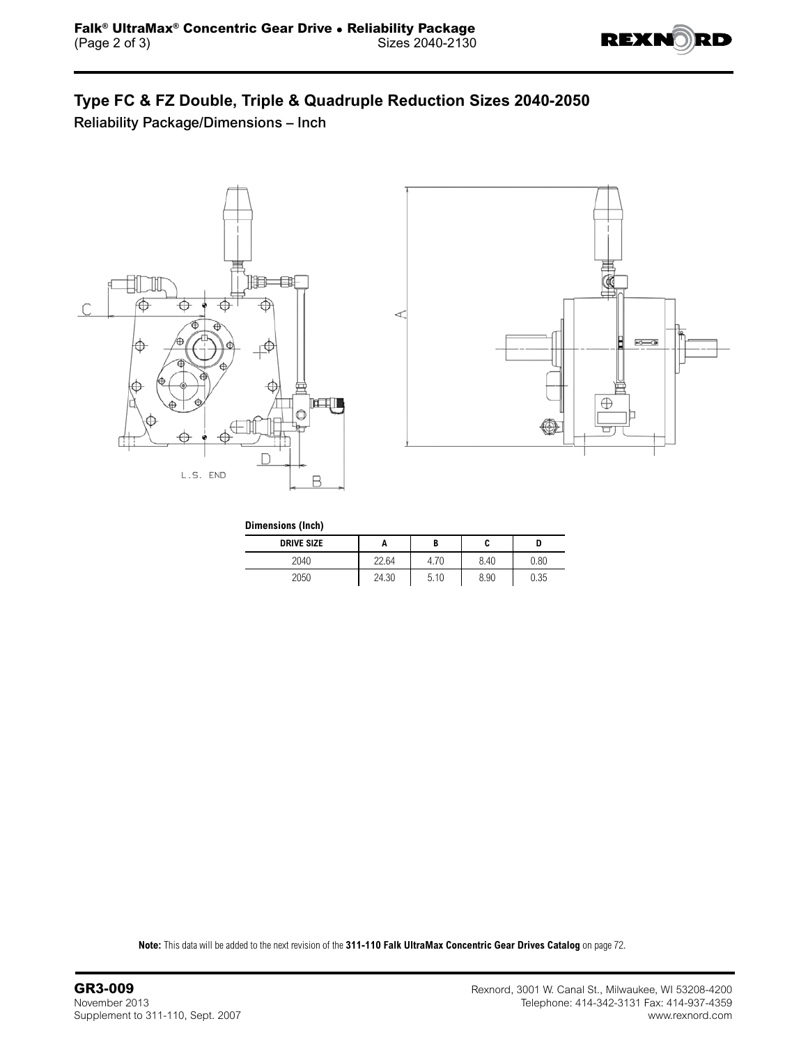

## **Type FC & FZ Double, Triple & Quadruple Reduction Sizes 2040-2050**

Reliability Package/Dimensions – Inch





| Dimensions (Inch) |       |      |      |      |  |  |  |  |  |
|-------------------|-------|------|------|------|--|--|--|--|--|
| <b>DRIVE SIZE</b> |       |      | C    | D    |  |  |  |  |  |
| 2040              | 22.64 | 4.70 | 8.40 | 0.80 |  |  |  |  |  |
| 2050              | 24.30 | 5.10 | 8.90 | 0.35 |  |  |  |  |  |

**Note:** This data will be added to the next revision of the **311-110 Falk UltraMax Concentric Gear Drives Catalog** on page 72.